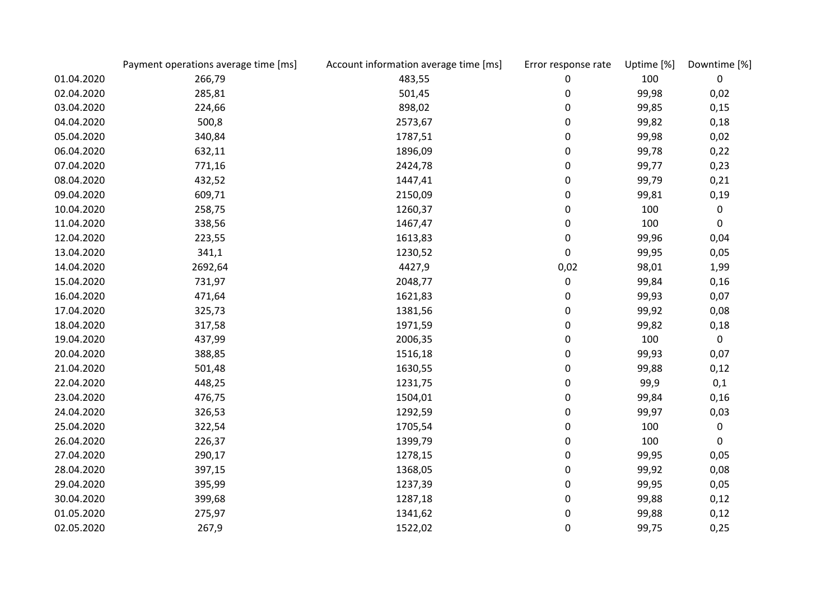|            | Payment operations average time [ms] | Account information average time [ms] | Error response rate | Uptime [%] | Downtime [%] |
|------------|--------------------------------------|---------------------------------------|---------------------|------------|--------------|
| 01.04.2020 | 266,79                               | 483,55                                | 0                   | 100        | 0            |
| 02.04.2020 | 285,81                               | 501,45                                | 0                   | 99,98      | 0,02         |
| 03.04.2020 | 224,66                               | 898,02                                | 0                   | 99,85      | 0,15         |
| 04.04.2020 | 500,8                                | 2573,67                               | 0                   | 99,82      | 0,18         |
| 05.04.2020 | 340,84                               | 1787,51                               | 0                   | 99,98      | 0,02         |
| 06.04.2020 | 632,11                               | 1896,09                               | 0                   | 99,78      | 0,22         |
| 07.04.2020 | 771,16                               | 2424,78                               | 0                   | 99,77      | 0,23         |
| 08.04.2020 | 432,52                               | 1447,41                               | 0                   | 99,79      | 0,21         |
| 09.04.2020 | 609,71                               | 2150,09                               | 0                   | 99,81      | 0,19         |
| 10.04.2020 | 258,75                               | 1260,37                               | 0                   | 100        | 0            |
| 11.04.2020 | 338,56                               | 1467,47                               | $\pmb{0}$           | 100        | $\pmb{0}$    |
| 12.04.2020 | 223,55                               | 1613,83                               | 0                   | 99,96      | 0,04         |
| 13.04.2020 | 341,1                                | 1230,52                               | 0                   | 99,95      | 0,05         |
| 14.04.2020 | 2692,64                              | 4427,9                                | 0,02                | 98,01      | 1,99         |
| 15.04.2020 | 731,97                               | 2048,77                               | 0                   | 99,84      | 0,16         |
| 16.04.2020 | 471,64                               | 1621,83                               | 0                   | 99,93      | 0,07         |
| 17.04.2020 | 325,73                               | 1381,56                               | 0                   | 99,92      | 0,08         |
| 18.04.2020 | 317,58                               | 1971,59                               | 0                   | 99,82      | 0,18         |
| 19.04.2020 | 437,99                               | 2006,35                               | 0                   | 100        | $\pmb{0}$    |
| 20.04.2020 | 388,85                               | 1516,18                               | 0                   | 99,93      | 0,07         |
| 21.04.2020 | 501,48                               | 1630,55                               | 0                   | 99,88      | 0,12         |
| 22.04.2020 | 448,25                               | 1231,75                               | 0                   | 99,9       | 0,1          |
| 23.04.2020 | 476,75                               | 1504,01                               | 0                   | 99,84      | 0,16         |
| 24.04.2020 | 326,53                               | 1292,59                               | 0                   | 99,97      | 0,03         |
| 25.04.2020 | 322,54                               | 1705,54                               | 0                   | 100        | 0            |
| 26.04.2020 | 226,37                               | 1399,79                               | 0                   | 100        | 0            |
| 27.04.2020 | 290,17                               | 1278,15                               | 0                   | 99,95      | 0,05         |
| 28.04.2020 | 397,15                               | 1368,05                               | 0                   | 99,92      | 0,08         |
| 29.04.2020 | 395,99                               | 1237,39                               | 0                   | 99,95      | 0,05         |
| 30.04.2020 | 399,68                               | 1287,18                               | 0                   | 99,88      | 0,12         |
| 01.05.2020 | 275,97                               | 1341,62                               | 0                   | 99,88      | 0,12         |
| 02.05.2020 | 267,9                                | 1522,02                               | 0                   | 99,75      | 0,25         |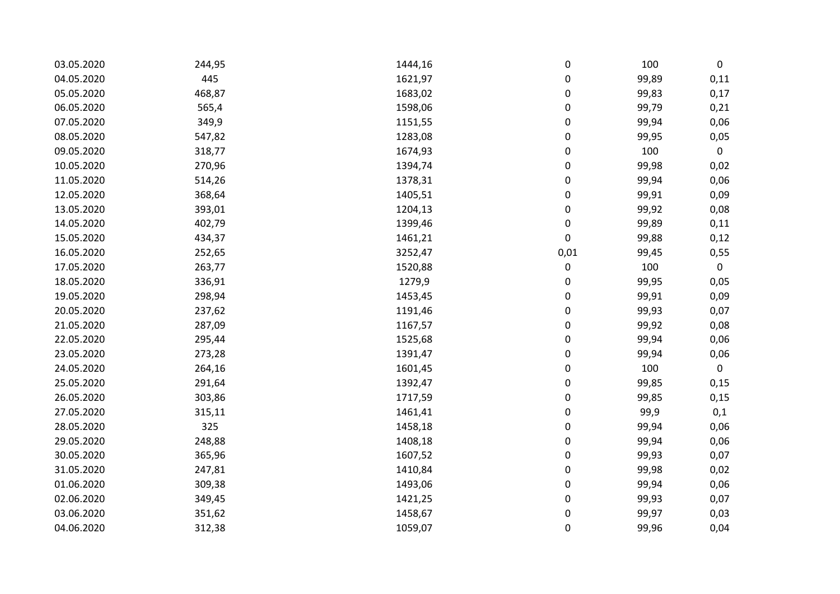| 03.05.2020 | 244,95 | 1444,16 | 0           | 100   | 0           |
|------------|--------|---------|-------------|-------|-------------|
| 04.05.2020 | 445    | 1621,97 | 0           | 99,89 | 0,11        |
| 05.05.2020 | 468,87 | 1683,02 | 0           | 99,83 | 0,17        |
| 06.05.2020 | 565,4  | 1598,06 | 0           | 99,79 | 0,21        |
| 07.05.2020 | 349,9  | 1151,55 | 0           | 99,94 | 0,06        |
| 08.05.2020 | 547,82 | 1283,08 | 0           | 99,95 | 0,05        |
| 09.05.2020 | 318,77 | 1674,93 | $\mathbf 0$ | 100   | $\mathbf 0$ |
| 10.05.2020 | 270,96 | 1394,74 | 0           | 99,98 | 0,02        |
| 11.05.2020 | 514,26 | 1378,31 | 0           | 99,94 | 0,06        |
| 12.05.2020 | 368,64 | 1405,51 | 0           | 99,91 | 0,09        |
| 13.05.2020 | 393,01 | 1204,13 | 0           | 99,92 | 0,08        |
| 14.05.2020 | 402,79 | 1399,46 | 0           | 99,89 | 0,11        |
| 15.05.2020 | 434,37 | 1461,21 | 0           | 99,88 | 0,12        |
| 16.05.2020 | 252,65 | 3252,47 | 0,01        | 99,45 | 0,55        |
| 17.05.2020 | 263,77 | 1520,88 | 0           | 100   | $\mathbf 0$ |
| 18.05.2020 | 336,91 | 1279,9  | 0           | 99,95 | 0,05        |
| 19.05.2020 | 298,94 | 1453,45 | 0           | 99,91 | 0,09        |
| 20.05.2020 | 237,62 | 1191,46 | 0           | 99,93 | 0,07        |
| 21.05.2020 | 287,09 | 1167,57 | 0           | 99,92 | 0,08        |
| 22.05.2020 | 295,44 | 1525,68 | 0           | 99,94 | 0,06        |
| 23.05.2020 | 273,28 | 1391,47 | 0           | 99,94 | 0,06        |
| 24.05.2020 | 264,16 | 1601,45 | 0           | 100   | $\mathbf 0$ |
| 25.05.2020 | 291,64 | 1392,47 | 0           | 99,85 | 0,15        |
| 26.05.2020 | 303,86 | 1717,59 | 0           | 99,85 | 0,15        |
| 27.05.2020 | 315,11 | 1461,41 | 0           | 99,9  | 0,1         |
| 28.05.2020 | 325    | 1458,18 | 0           | 99,94 | 0,06        |
| 29.05.2020 | 248,88 | 1408,18 | 0           | 99,94 | 0,06        |
| 30.05.2020 | 365,96 | 1607,52 | 0           | 99,93 | 0,07        |
| 31.05.2020 | 247,81 | 1410,84 | 0           | 99,98 | 0,02        |
| 01.06.2020 | 309,38 | 1493,06 | 0           | 99,94 | 0,06        |
| 02.06.2020 | 349,45 | 1421,25 | 0           | 99,93 | 0,07        |
| 03.06.2020 | 351,62 | 1458,67 | 0           | 99,97 | 0,03        |
| 04.06.2020 | 312,38 | 1059,07 | 0           | 99,96 | 0,04        |